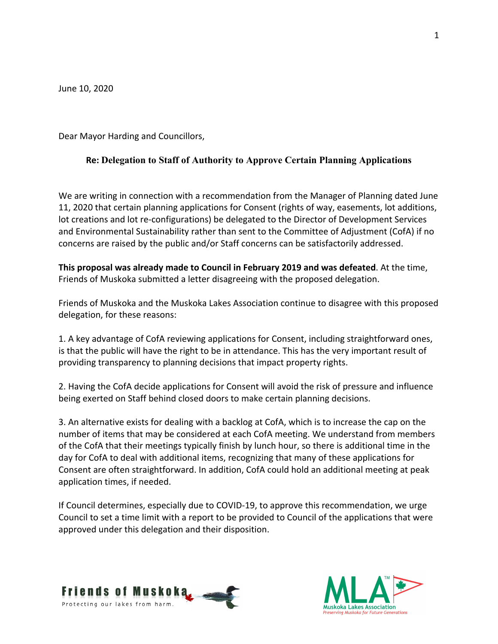June 10, 2020

Dear Mayor Harding and Councillors,

## **Re: Delegation to Staff of Authority to Approve Certain Planning Applications**

We are writing in connection with a recommendation from the Manager of Planning dated June 11, 2020 that certain planning applications for Consent (rights of way, easements, lot additions, lot creations and lot re-configurations) be delegated to the Director of Development Services and Environmental Sustainability rather than sent to the Committee of Adjustment (CofA) if no concerns are raised by the public and/or Staff concerns can be satisfactorily addressed.

**This proposal was already made to Council in February 2019 and was defeated**. At the time, Friends of Muskoka submitted a letter disagreeing with the proposed delegation.

Friends of Muskoka and the Muskoka Lakes Association continue to disagree with this proposed delegation, for these reasons:

1. A key advantage of CofA reviewing applications for Consent, including straightforward ones, is that the public will have the right to be in attendance. This has the very important result of providing transparency to planning decisions that impact property rights.

2. Having the CofA decide applications for Consent will avoid the risk of pressure and influence being exerted on Staff behind closed doors to make certain planning decisions.

3. An alternative exists for dealing with a backlog at CofA, which is to increase the cap on the number of items that may be considered at each CofA meeting. We understand from members of the CofA that their meetings typically finish by lunch hour, so there is additional time in the day for CofA to deal with additional items, recognizing that many of these applications for Consent are often straightforward. In addition, CofA could hold an additional meeting at peak application times, if needed.

If Council determines, especially due to COVID-19, to approve this recommendation, we urge Council to set a time limit with a report to be provided to Council of the applications that were approved under this delegation and their disposition.